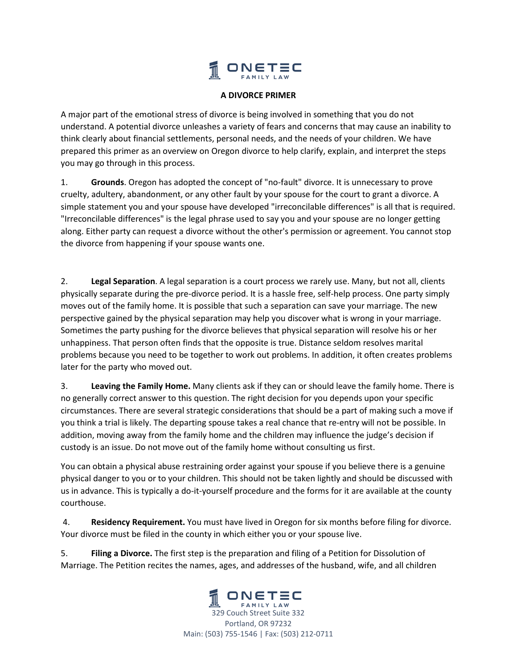

## **A DIVORCE PRIMER**

A major part of the emotional stress of divorce is being involved in something that you do not understand. A potential divorce unleashes a variety of fears and concerns that may cause an inability to think clearly about financial settlements, personal needs, and the needs of your children. We have prepared this primer as an overview on Oregon divorce to help clarify, explain, and interpret the steps you may go through in this process.

1. **Grounds**. Oregon has adopted the concept of "no‐fault" divorce. It is unnecessary to prove cruelty, adultery, abandonment, or any other fault by your spouse for the court to grant a divorce. A simple statement you and your spouse have developed "irreconcilable differences" is all that is required. "Irreconcilable differences" is the legal phrase used to say you and your spouse are no longer getting along. Either party can request a divorce without the other's permission or agreement. You cannot stop the divorce from happening if your spouse wants one.

2. **Legal Separation**. A legal separation is a court process we rarely use. Many, but not all, clients physically separate during the pre-divorce period. It is a hassle free, self-help process. One party simply moves out of the family home. It is possible that such a separation can save your marriage. The new perspective gained by the physical separation may help you discover what is wrong in your marriage. Sometimes the party pushing for the divorce believes that physical separation will resolve his or her unhappiness. That person often finds that the opposite is true. Distance seldom resolves marital problems because you need to be together to work out problems. In addition, it often creates problems later for the party who moved out.

3. **Leaving the Family Home.** Many clients ask if they can or should leave the family home. There is no generally correct answer to this question. The right decision for you depends upon your specific circumstances. There are several strategic considerations that should be a part of making such a move if you think a trial is likely. The departing spouse takes a real chance that re‐entry will not be possible. In addition, moving away from the family home and the children may influence the judge's decision if custody is an issue. Do not move out of the family home without consulting us first.

You can obtain a physical abuse restraining order against your spouse if you believe there is a genuine physical danger to you or to your children. This should not be taken lightly and should be discussed with us in advance. This is typically a do‐it‐yourself procedure and the forms for it are available at the county courthouse.

 4. **Residency Requirement.** You must have lived in Oregon for six months before filing for divorce. Your divorce must be filed in the county in which either you or your spouse live.

5. **Filing a Divorce.** The first step is the preparation and filing of a Petition for Dissolution of Marriage. The Petition recites the names, ages, and addresses of the husband, wife, and all children

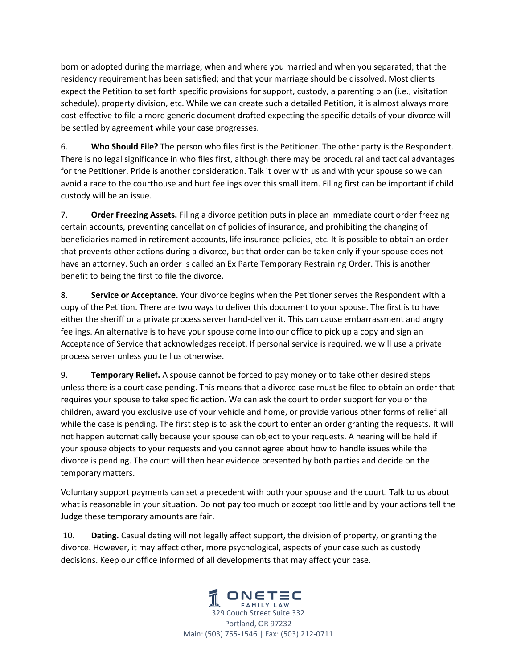born or adopted during the marriage; when and where you married and when you separated; that the residency requirement has been satisfied; and that your marriage should be dissolved. Most clients expect the Petition to set forth specific provisions for support, custody, a parenting plan (i.e., visitation schedule), property division, etc. While we can create such a detailed Petition, it is almost always more cost-effective to file a more generic document drafted expecting the specific details of your divorce will be settled by agreement while your case progresses.

6. **Who Should File?** The person who files first is the Petitioner. The other party is the Respondent. There is no legal significance in who files first, although there may be procedural and tactical advantages for the Petitioner. Pride is another consideration. Talk it over with us and with your spouse so we can avoid a race to the courthouse and hurt feelings over this small item. Filing first can be important if child custody will be an issue.

7. **Order Freezing Assets.** Filing a divorce petition puts in place an immediate court order freezing certain accounts, preventing cancellation of policies of insurance, and prohibiting the changing of beneficiaries named in retirement accounts, life insurance policies, etc. It is possible to obtain an order that prevents other actions during a divorce, but that order can be taken only if your spouse does not have an attorney. Such an order is called an Ex Parte Temporary Restraining Order. This is another benefit to being the first to file the divorce.

8. **Service or Acceptance.** Your divorce begins when the Petitioner serves the Respondent with a copy of the Petition. There are two ways to deliver this document to your spouse. The first is to have either the sheriff or a private process server hand-deliver it. This can cause embarrassment and angry feelings. An alternative is to have your spouse come into our office to pick up a copy and sign an Acceptance of Service that acknowledges receipt. If personal service is required, we will use a private process server unless you tell us otherwise.

9. **Temporary Relief.** A spouse cannot be forced to pay money or to take other desired steps unless there is a court case pending. This means that a divorce case must be filed to obtain an order that requires your spouse to take specific action. We can ask the court to order support for you or the children, award you exclusive use of your vehicle and home, or provide various other forms of relief all while the case is pending. The first step is to ask the court to enter an order granting the requests. It will not happen automatically because your spouse can object to your requests. A hearing will be held if your spouse objects to your requests and you cannot agree about how to handle issues while the divorce is pending. The court will then hear evidence presented by both parties and decide on the temporary matters.

Voluntary support payments can set a precedent with both your spouse and the court. Talk to us about what is reasonable in your situation. Do not pay too much or accept too little and by your actions tell the Judge these temporary amounts are fair.

 10. **Dating.** Casual dating will not legally affect support, the division of property, or granting the divorce. However, it may affect other, more psychological, aspects of your case such as custody decisions. Keep our office informed of all developments that may affect your case.

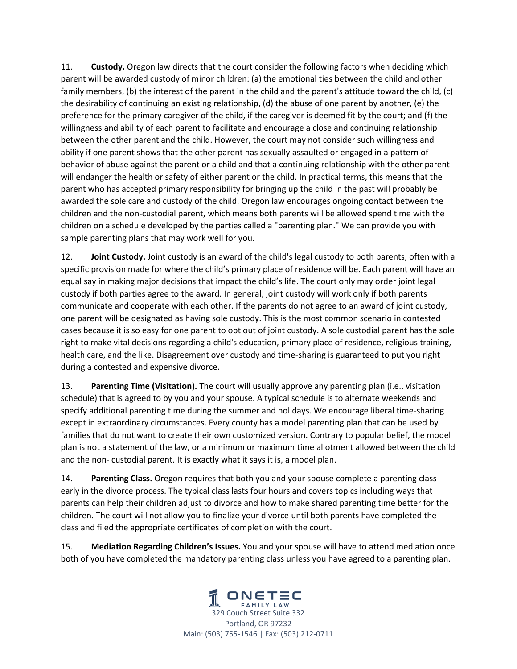11. **Custody.** Oregon law directs that the court consider the following factors when deciding which parent will be awarded custody of minor children: (a) the emotional ties between the child and other family members, (b) the interest of the parent in the child and the parent's attitude toward the child, (c) the desirability of continuing an existing relationship, (d) the abuse of one parent by another, (e) the preference for the primary caregiver of the child, if the caregiver is deemed fit by the court; and (f) the willingness and ability of each parent to facilitate and encourage a close and continuing relationship between the other parent and the child. However, the court may not consider such willingness and ability if one parent shows that the other parent has sexually assaulted or engaged in a pattern of behavior of abuse against the parent or a child and that a continuing relationship with the other parent will endanger the health or safety of either parent or the child. In practical terms, this means that the parent who has accepted primary responsibility for bringing up the child in the past will probably be awarded the sole care and custody of the child. Oregon law encourages ongoing contact between the children and the non‐custodial parent, which means both parents will be allowed spend time with the children on a schedule developed by the parties called a "parenting plan." We can provide you with sample parenting plans that may work well for you.

12. **Joint Custody.** Joint custody is an award of the child's legal custody to both parents, often with a specific provision made for where the child's primary place of residence will be. Each parent will have an equal say in making major decisions that impact the child's life. The court only may order joint legal custody if both parties agree to the award. In general, joint custody will work only if both parents communicate and cooperate with each other. If the parents do not agree to an award of joint custody, one parent will be designated as having sole custody. This is the most common scenario in contested cases because it is so easy for one parent to opt out of joint custody. A sole custodial parent has the sole right to make vital decisions regarding a child's education, primary place of residence, religious training, health care, and the like. Disagreement over custody and time‐sharing is guaranteed to put you right during a contested and expensive divorce.

13. **Parenting Time (Visitation).** The court will usually approve any parenting plan (i.e., visitation schedule) that is agreed to by you and your spouse. A typical schedule is to alternate weekends and specify additional parenting time during the summer and holidays. We encourage liberal time-sharing except in extraordinary circumstances. Every county has a model parenting plan that can be used by families that do not want to create their own customized version. Contrary to popular belief, the model plan is not a statement of the law, or a minimum or maximum time allotment allowed between the child and the non-custodial parent. It is exactly what it says it is, a model plan.

14. **Parenting Class.** Oregon requires that both you and your spouse complete a parenting class early in the divorce process. The typical class lasts four hours and covers topics including ways that parents can help their children adjust to divorce and how to make shared parenting time better for the children. The court will not allow you to finalize your divorce until both parents have completed the class and filed the appropriate certificates of completion with the court.

15. **Mediation Regarding Children's Issues.** You and your spouse will have to attend mediation once both of you have completed the mandatory parenting class unless you have agreed to a parenting plan.

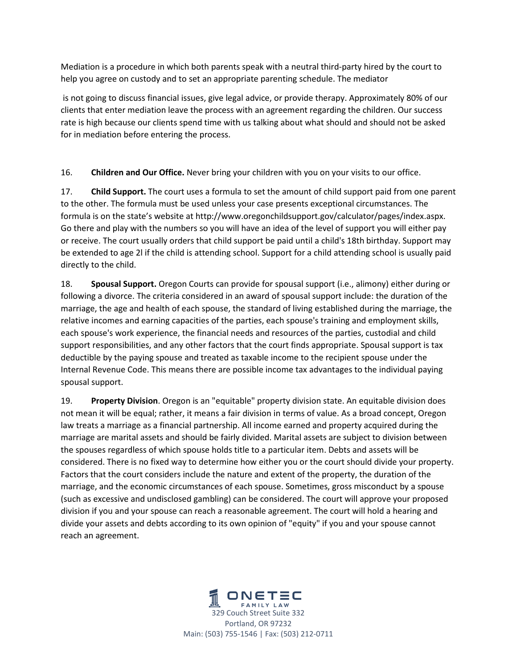Mediation is a procedure in which both parents speak with a neutral third‐party hired by the court to help you agree on custody and to set an appropriate parenting schedule. The mediator

 is not going to discuss financial issues, give legal advice, or provide therapy. Approximately 80% of our clients that enter mediation leave the process with an agreement regarding the children. Our success rate is high because our clients spend time with us talking about what should and should not be asked for in mediation before entering the process.

16. **Children and Our Office.** Never bring your children with you on your visits to our office.

17. **Child Support.** The court uses a formula to set the amount of child support paid from one parent to the other. The formula must be used unless your case presents exceptional circumstances. The formula is on the state's website at http://www.oregonchildsupport.gov/calculator/pages/index.aspx. Go there and play with the numbers so you will have an idea of the level of support you will either pay or receive. The court usually orders that child support be paid until a child's 18th birthday. Support may be extended to age 2l if the child is attending school. Support for a child attending school is usually paid directly to the child.

18. **Spousal Support.** Oregon Courts can provide for spousal support (i.e., alimony) either during or following a divorce. The criteria considered in an award of spousal support include: the duration of the marriage, the age and health of each spouse, the standard of living established during the marriage, the relative incomes and earning capacities of the parties, each spouse's training and employment skills, each spouse's work experience, the financial needs and resources of the parties, custodial and child support responsibilities, and any other factors that the court finds appropriate. Spousal support is tax deductible by the paying spouse and treated as taxable income to the recipient spouse under the Internal Revenue Code. This means there are possible income tax advantages to the individual paying spousal support.

19. **Property Division**. Oregon is an "equitable" property division state. An equitable division does not mean it will be equal; rather, it means a fair division in terms of value. As a broad concept, Oregon law treats a marriage as a financial partnership. All income earned and property acquired during the marriage are marital assets and should be fairly divided. Marital assets are subject to division between the spouses regardless of which spouse holds title to a particular item. Debts and assets will be considered. There is no fixed way to determine how either you or the court should divide your property. Factors that the court considers include the nature and extent of the property, the duration of the marriage, and the economic circumstances of each spouse. Sometimes, gross misconduct by a spouse (such as excessive and undisclosed gambling) can be considered. The court will approve your proposed division if you and your spouse can reach a reasonable agreement. The court will hold a hearing and divide your assets and debts according to its own opinion of "equity" if you and your spouse cannot reach an agreement.

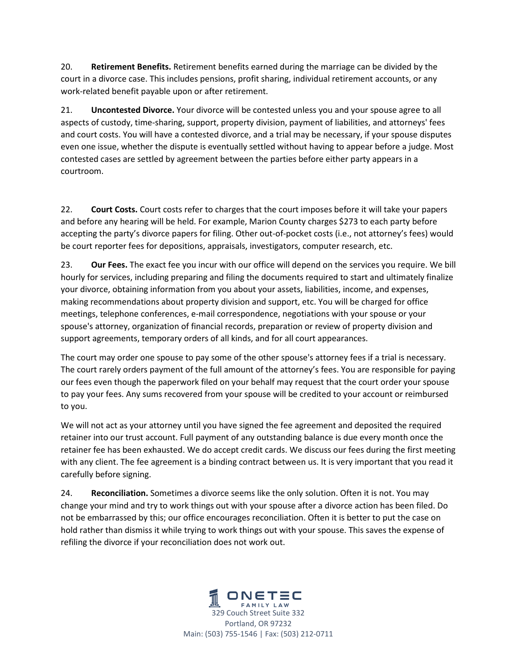20. **Retirement Benefits.** Retirement benefits earned during the marriage can be divided by the court in a divorce case. This includes pensions, profit sharing, individual retirement accounts, or any work‐related benefit payable upon or after retirement.

21. **Uncontested Divorce.** Your divorce will be contested unless you and your spouse agree to all aspects of custody, time‐sharing, support, property division, payment of liabilities, and attorneys' fees and court costs. You will have a contested divorce, and a trial may be necessary, if your spouse disputes even one issue, whether the dispute is eventually settled without having to appear before a judge. Most contested cases are settled by agreement between the parties before either party appears in a courtroom.

22. **Court Costs.** Court costs refer to charges that the court imposes before it will take your papers and before any hearing will be held. For example, Marion County charges \$273 to each party before accepting the party's divorce papers for filing. Other out‐of‐pocket costs (i.e., not attorney's fees) would be court reporter fees for depositions, appraisals, investigators, computer research, etc.

23. **Our Fees.** The exact fee you incur with our office will depend on the services you require. We bill hourly for services, including preparing and filing the documents required to start and ultimately finalize your divorce, obtaining information from you about your assets, liabilities, income, and expenses, making recommendations about property division and support, etc. You will be charged for office meetings, telephone conferences, e‐mail correspondence, negotiations with your spouse or your spouse's attorney, organization of financial records, preparation or review of property division and support agreements, temporary orders of all kinds, and for all court appearances.

The court may order one spouse to pay some of the other spouse's attorney fees if a trial is necessary. The court rarely orders payment of the full amount of the attorney's fees. You are responsible for paying our fees even though the paperwork filed on your behalf may request that the court order your spouse to pay your fees. Any sums recovered from your spouse will be credited to your account or reimbursed to you.

We will not act as your attorney until you have signed the fee agreement and deposited the required retainer into our trust account. Full payment of any outstanding balance is due every month once the retainer fee has been exhausted. We do accept credit cards. We discuss our fees during the first meeting with any client. The fee agreement is a binding contract between us. It is very important that you read it carefully before signing.

24. **Reconciliation.** Sometimes a divorce seems like the only solution. Often it is not. You may change your mind and try to work things out with your spouse after a divorce action has been filed. Do not be embarrassed by this; our office encourages reconciliation. Often it is better to put the case on hold rather than dismiss it while trying to work things out with your spouse. This saves the expense of refiling the divorce if your reconciliation does not work out.

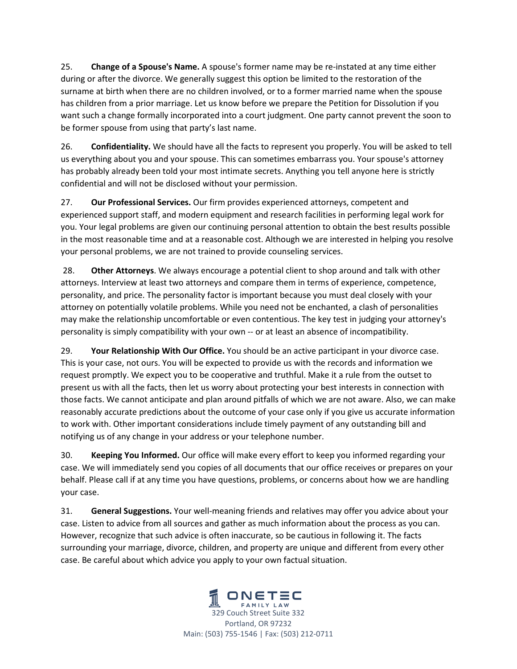25. **Change of a Spouse's Name.** A spouse's former name may be re‐instated at any time either during or after the divorce. We generally suggest this option be limited to the restoration of the surname at birth when there are no children involved, or to a former married name when the spouse has children from a prior marriage. Let us know before we prepare the Petition for Dissolution if you want such a change formally incorporated into a court judgment. One party cannot prevent the soon to be former spouse from using that party's last name.

26. **Confidentiality.** We should have all the facts to represent you properly. You will be asked to tell us everything about you and your spouse. This can sometimes embarrass you. Your spouse's attorney has probably already been told your most intimate secrets. Anything you tell anyone here is strictly confidential and will not be disclosed without your permission.

27. **Our Professional Services.** Our firm provides experienced attorneys, competent and experienced support staff, and modern equipment and research facilities in performing legal work for you. Your legal problems are given our continuing personal attention to obtain the best results possible in the most reasonable time and at a reasonable cost. Although we are interested in helping you resolve your personal problems, we are not trained to provide counseling services.

 28. **Other Attorneys**. We always encourage a potential client to shop around and talk with other attorneys. Interview at least two attorneys and compare them in terms of experience, competence, personality, and price. The personality factor is important because you must deal closely with your attorney on potentially volatile problems. While you need not be enchanted, a clash of personalities may make the relationship uncomfortable or even contentious. The key test in judging your attorney's personality is simply compatibility with your own ‐‐ or at least an absence of incompatibility.

29. **Your Relationship With Our Office.** You should be an active participant in your divorce case. This is your case, not ours. You will be expected to provide us with the records and information we request promptly. We expect you to be cooperative and truthful. Make it a rule from the outset to present us with all the facts, then let us worry about protecting your best interests in connection with those facts. We cannot anticipate and plan around pitfalls of which we are not aware. Also, we can make reasonably accurate predictions about the outcome of your case only if you give us accurate information to work with. Other important considerations include timely payment of any outstanding bill and notifying us of any change in your address or your telephone number.

30. **Keeping You Informed.** Our office will make every effort to keep you informed regarding your case. We will immediately send you copies of all documents that our office receives or prepares on your behalf. Please call if at any time you have questions, problems, or concerns about how we are handling your case.

31. **General Suggestions.** Your well‐meaning friends and relatives may offer you advice about your case. Listen to advice from all sources and gather as much information about the process as you can. However, recognize that such advice is often inaccurate, so be cautious in following it. The facts surrounding your marriage, divorce, children, and property are unique and different from every other case. Be careful about which advice you apply to your own factual situation.